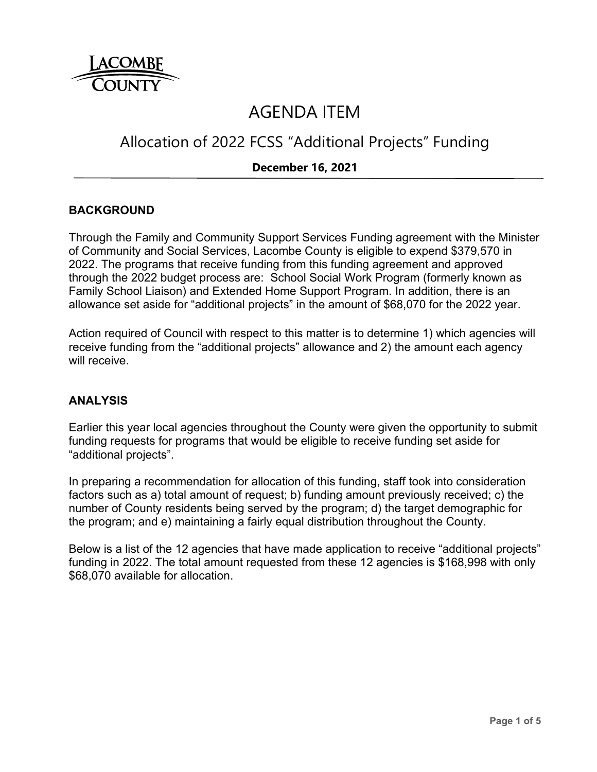

# AGENDA ITEM

# Allocation of 2022 FCSS "Additional Projects" Funding

### **December 16, 2021**

### **BACKGROUND**

Through the Family and Community Support Services Funding agreement with the Minister of Community and Social Services, Lacombe County is eligible to expend \$379,570 in 2022. The programs that receive funding from this funding agreement and approved through the 2022 budget process are: School Social Work Program (formerly known as Family School Liaison) and Extended Home Support Program. In addition, there is an allowance set aside for "additional projects" in the amount of \$68,070 for the 2022 year.

Action required of Council with respect to this matter is to determine 1) which agencies will receive funding from the "additional projects" allowance and 2) the amount each agency will receive.

#### **ANALYSIS**

Earlier this year local agencies throughout the County were given the opportunity to submit funding requests for programs that would be eligible to receive funding set aside for "additional projects".

In preparing a recommendation for allocation of this funding, staff took into consideration factors such as a) total amount of request; b) funding amount previously received; c) the number of County residents being served by the program; d) the target demographic for the program; and e) maintaining a fairly equal distribution throughout the County.

Below is a list of the 12 agencies that have made application to receive "additional projects" funding in 2022. The total amount requested from these 12 agencies is \$168,998 with only \$68,070 available for allocation.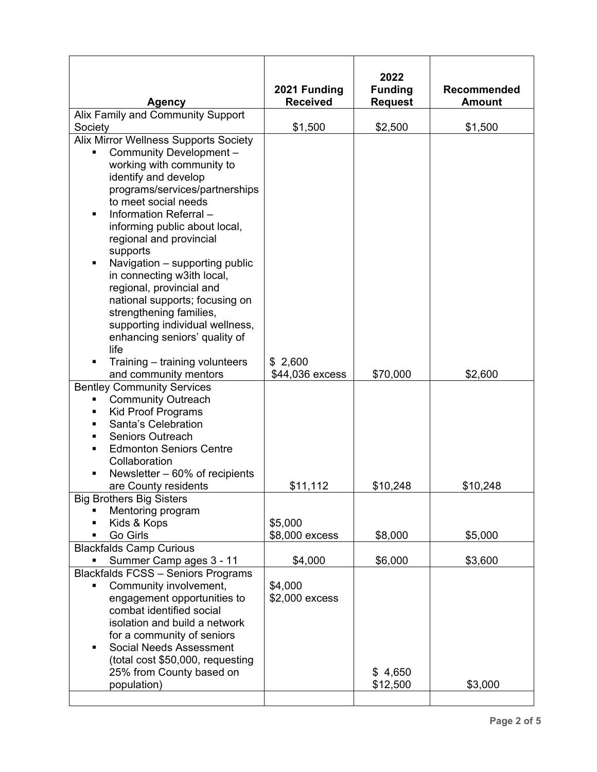|                                                                                                                                                                                                                                                                                                                                                                                                                                                                                                                                     |                                 | 2022           |                    |
|-------------------------------------------------------------------------------------------------------------------------------------------------------------------------------------------------------------------------------------------------------------------------------------------------------------------------------------------------------------------------------------------------------------------------------------------------------------------------------------------------------------------------------------|---------------------------------|----------------|--------------------|
|                                                                                                                                                                                                                                                                                                                                                                                                                                                                                                                                     | 2021 Funding<br><b>Received</b> | <b>Funding</b> | <b>Recommended</b> |
| <b>Agency</b><br>Alix Family and Community Support                                                                                                                                                                                                                                                                                                                                                                                                                                                                                  |                                 | <b>Request</b> | <b>Amount</b>      |
| Society                                                                                                                                                                                                                                                                                                                                                                                                                                                                                                                             | \$1,500                         | \$2,500        | \$1,500            |
| Alix Mirror Wellness Supports Society<br>Community Development-<br>٠<br>working with community to<br>identify and develop<br>programs/services/partnerships<br>to meet social needs<br>Information Referral-<br>٠<br>informing public about local,<br>regional and provincial<br>supports<br>Navigation - supporting public<br>٠<br>in connecting w3ith local,<br>regional, provincial and<br>national supports; focusing on<br>strengthening families,<br>supporting individual wellness,<br>enhancing seniors' quality of<br>life |                                 |                |                    |
| Training – training volunteers                                                                                                                                                                                                                                                                                                                                                                                                                                                                                                      | \$2,600                         |                |                    |
| and community mentors                                                                                                                                                                                                                                                                                                                                                                                                                                                                                                               | \$44,036 excess                 | \$70,000       | \$2,600            |
| <b>Bentley Community Services</b><br><b>Community Outreach</b><br><b>Kid Proof Programs</b><br>Santa's Celebration<br><b>Seniors Outreach</b><br><b>Edmonton Seniors Centre</b><br>Collaboration<br>Newsletter $-60\%$ of recipients                                                                                                                                                                                                                                                                                                |                                 |                |                    |
| are County residents                                                                                                                                                                                                                                                                                                                                                                                                                                                                                                                | \$11,112                        | \$10,248       | \$10,248           |
| <b>Big Brothers Big Sisters</b><br>Mentoring program<br>Kids & Kops<br>Go Girls                                                                                                                                                                                                                                                                                                                                                                                                                                                     | \$5,000<br>\$8,000 excess       | \$8,000        | \$5,000            |
| <b>Blackfalds Camp Curious</b>                                                                                                                                                                                                                                                                                                                                                                                                                                                                                                      |                                 |                |                    |
| Summer Camp ages 3 - 11<br><b>Blackfalds FCSS - Seniors Programs</b>                                                                                                                                                                                                                                                                                                                                                                                                                                                                | \$4,000                         | \$6,000        | \$3,600            |
| Community involvement,<br>٠<br>engagement opportunities to<br>combat identified social<br>isolation and build a network<br>for a community of seniors<br><b>Social Needs Assessment</b><br>(total cost \$50,000, requesting<br>25% from County based on                                                                                                                                                                                                                                                                             | \$4,000<br>\$2,000 excess       | \$4,650        |                    |
| population)                                                                                                                                                                                                                                                                                                                                                                                                                                                                                                                         |                                 | \$12,500       | \$3,000            |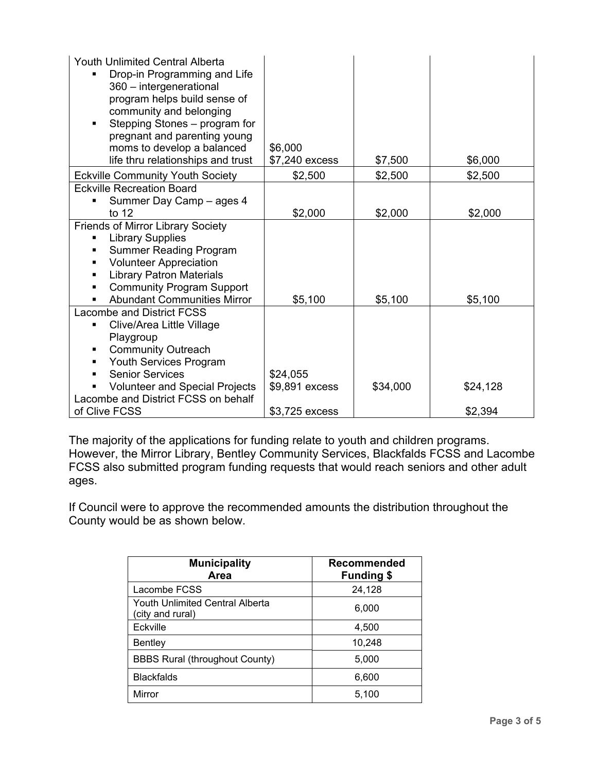| <b>Youth Unlimited Central Alberta</b><br>Drop-in Programming and Life<br>360 - intergenerational<br>program helps build sense of<br>community and belonging<br>Stepping Stones – program for<br>٠<br>pregnant and parenting young<br>moms to develop a balanced<br>life thru relationships and trust | \$6,000<br>\$7,240 excess | \$7,500  | \$6,000  |
|-------------------------------------------------------------------------------------------------------------------------------------------------------------------------------------------------------------------------------------------------------------------------------------------------------|---------------------------|----------|----------|
| <b>Eckville Community Youth Society</b>                                                                                                                                                                                                                                                               | \$2,500                   | \$2,500  | \$2,500  |
| <b>Eckville Recreation Board</b><br>Summer Day Camp - ages 4                                                                                                                                                                                                                                          |                           |          |          |
| to $12$                                                                                                                                                                                                                                                                                               | \$2,000                   | \$2,000  | \$2,000  |
| <b>Friends of Mirror Library Society</b><br><b>Library Supplies</b><br><b>Summer Reading Program</b><br><b>Volunteer Appreciation</b><br>٠<br><b>Library Patron Materials</b><br>٠<br><b>Community Program Support</b><br>٠<br><b>Abundant Communities Mirror</b><br>٠                                | \$5,100                   | \$5,100  | \$5,100  |
| <b>Lacombe and District FCSS</b>                                                                                                                                                                                                                                                                      |                           |          |          |
| Clive/Area Little Village<br>٠<br>Playgroup<br><b>Community Outreach</b><br>Youth Services Program                                                                                                                                                                                                    |                           |          |          |
| <b>Senior Services</b><br>٠                                                                                                                                                                                                                                                                           | \$24,055                  |          |          |
| <b>Volunteer and Special Projects</b>                                                                                                                                                                                                                                                                 | \$9,891 excess            | \$34,000 | \$24,128 |
| Lacombe and District FCSS on behalf                                                                                                                                                                                                                                                                   |                           |          |          |
| of Clive FCSS                                                                                                                                                                                                                                                                                         | \$3,725 excess            |          | \$2,394  |

The majority of the applications for funding relate to youth and children programs. However, the Mirror Library, Bentley Community Services, Blackfalds FCSS and Lacombe FCSS also submitted program funding requests that would reach seniors and other adult ages.

If Council were to approve the recommended amounts the distribution throughout the County would be as shown below.

| <b>Municipality</b><br>Area                         | <b>Recommended</b><br><b>Funding \$</b> |  |
|-----------------------------------------------------|-----------------------------------------|--|
| Lacombe FCSS                                        | 24,128                                  |  |
| Youth Unlimited Central Alberta<br>(city and rural) | 6,000                                   |  |
| Eckville                                            | 4,500                                   |  |
| Bentley                                             | 10,248                                  |  |
| <b>BBBS Rural (throughout County)</b>               | 5,000                                   |  |
| <b>Blackfalds</b>                                   | 6,600                                   |  |
| Mirror                                              | 5,100                                   |  |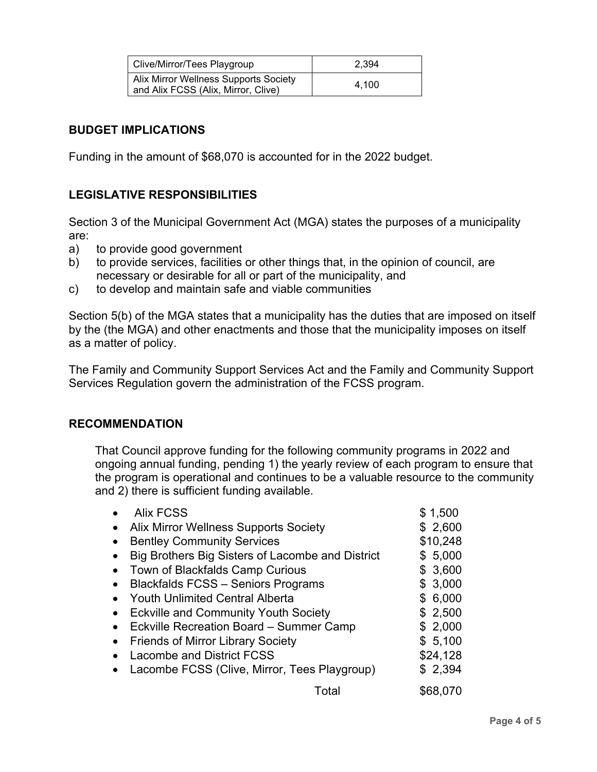| Clive/Mirror/Tees Playgroup                                                  | 2.394 |
|------------------------------------------------------------------------------|-------|
| Alix Mirror Wellness Supports Society<br>and Alix FCSS (Alix, Mirror, Clive) | 4.100 |

#### **BUDGET IMPLICATIONS**

Funding in the amount of \$68,070 is accounted for in the 2022 budget.

## **LEGISLATIVE RESPONSIBILITIES**

Section 3 of the Municipal Government Act (MGA) states the purposes of a municipality are:

- a) to provide good government
- b) to provide services, facilities or other things that, in the opinion of council, are necessary or desirable for all or part of the municipality, and
- c) to develop and maintain safe and viable communities

Section 5(b) of the MGA states that a municipality has the duties that are imposed on itself by the (the MGA) and other enactments and those that the municipality imposes on itself as a matter of policy.

The Family and Community Support Services Act and the Family and Community Support Services Regulation govern the administration of the FCSS program.

#### **RECOMMENDATION**

That Council approve funding for the following community programs in 2022 and ongoing annual funding, pending 1) the yearly review of each program to ensure that the program is operational and continues to be a valuable resource to the community and 2) there is sufficient funding available.

| <b>Alix FCSS</b>                                 | \$1,500  |
|--------------------------------------------------|----------|
| <b>Alix Mirror Wellness Supports Society</b>     | \$2,600  |
| <b>Bentley Community Services</b>                | \$10,248 |
| Big Brothers Big Sisters of Lacombe and District | \$5,000  |
| Town of Blackfalds Camp Curious                  | \$3,600  |
| <b>Blackfalds FCSS - Seniors Programs</b>        | \$3,000  |
| <b>Youth Unlimited Central Alberta</b>           | \$6,000  |
| <b>Eckville and Community Youth Society</b>      | \$2,500  |
| Eckville Recreation Board - Summer Camp          | \$2,000  |
| <b>Friends of Mirror Library Society</b>         | \$5,100  |
| <b>Lacombe and District FCSS</b>                 | \$24,128 |
| Lacombe FCSS (Clive, Mirror, Tees Playgroup)     | \$2,394  |
| Total                                            | \$68,070 |